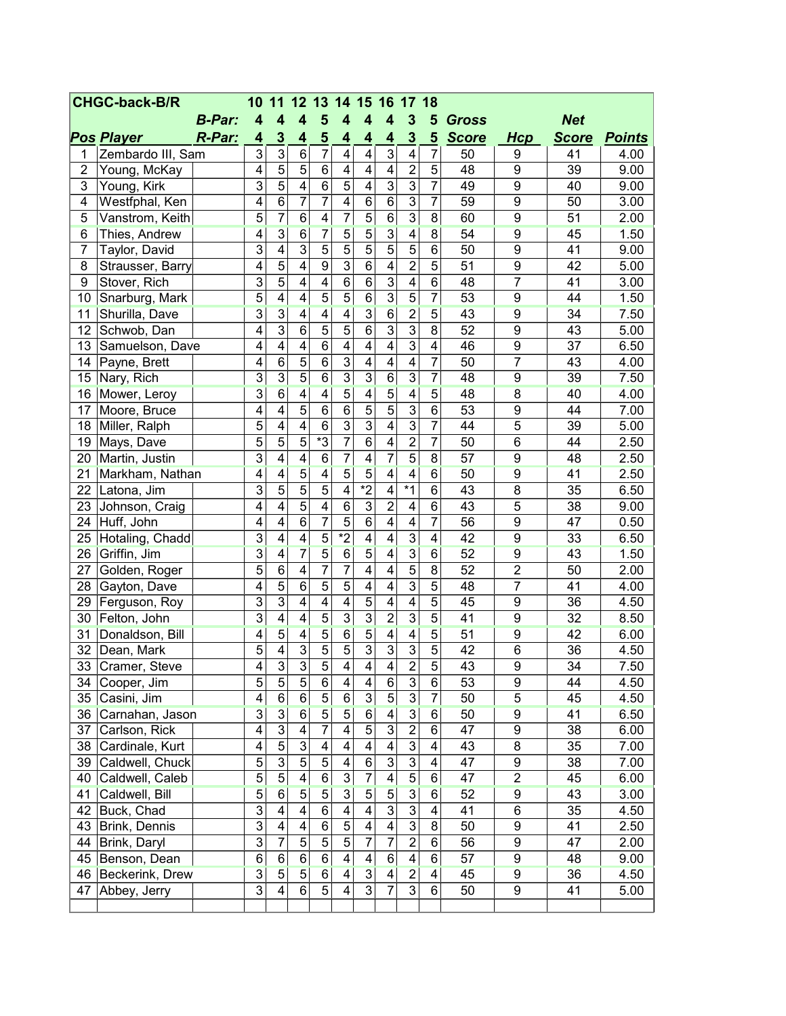| <b>CHGC-back-B/R</b> |                   |               | 10                      | 11                      | $12 \,$                 | 13                             | 14                      | 15                      | 16 17                   |                         | 18              |                 |                  |              |               |
|----------------------|-------------------|---------------|-------------------------|-------------------------|-------------------------|--------------------------------|-------------------------|-------------------------|-------------------------|-------------------------|-----------------|-----------------|------------------|--------------|---------------|
|                      |                   | <b>B-Par:</b> | $\overline{\mathbf{4}}$ | $\overline{4}$          | 4                       | 5                              | $\overline{\mathbf{4}}$ | 4                       | $\boldsymbol{4}$        | 3                       | 5               | <b>Gross</b>    |                  | <b>Net</b>   |               |
|                      | <b>Pos Player</b> | <b>R-Par:</b> | 4                       | $\overline{\mathbf{3}}$ | 4                       | $\overline{\mathbf{5}}$        | 4                       | 4                       | 4                       | 3                       | 5               | <b>Score</b>    | <b>Hcp</b>       | <b>Score</b> | <b>Points</b> |
| 1                    | Zembardo III, Sam |               | 3                       | $\overline{3}$          | 6                       | $\overline{7}$                 | 4                       | $\overline{\mathbf{4}}$ | $\overline{3}$          | 4                       | $\overline{7}$  | 50              | 9                | 41           | 4.00          |
| $\overline{2}$       | Young, McKay      |               | 4                       | $\overline{5}$          | 5                       | 6                              | 4                       | $\overline{4}$          | $\overline{\mathbf{4}}$ | $\overline{c}$          | $\overline{5}$  | 48              | 9                | 39           | 9.00          |
| 3                    | Young, Kirk       |               | $\overline{3}$          | $\overline{5}$          | 4                       | $\overline{6}$                 | $\overline{5}$          | $\overline{4}$          | $\overline{3}$          | $\overline{3}$          | $\overline{7}$  | 49              | $\overline{9}$   | 40           | 9.00          |
| 4                    | Westfphal, Ken    |               | $\overline{4}$          | $\overline{6}$          | 7                       | 7                              | $\overline{4}$          | $\overline{6}$          | $\overline{6}$          | $\overline{3}$          | 7               | 59              | 9                | 50           | 3.00          |
| 5                    | Vanstrom, Keith   |               | 5                       | 7                       | $\overline{6}$          | $\overline{\mathbf{4}}$        | 7                       | $\overline{5}$          | $6\phantom{1}$          | $\overline{3}$          | 8               | 60              | 9                | 51           | 2.00          |
| 6                    | Thies, Andrew     |               | 4                       | $\overline{3}$          | $6\overline{6}$         | 7                              | 5                       | $\overline{5}$          | $\overline{3}$          | $\overline{4}$          | $\overline{8}$  | 54              | 9                | 45           | 1.50          |
| $\overline{7}$       | Taylor, David     |               | 3                       | 4                       | $\overline{3}$          | $\overline{5}$                 | $\overline{5}$          | $\overline{5}$          | $\overline{5}$          | 5                       | 6               | 50              | 9                | 41           | 9.00          |
| 8                    | Strausser, Barry  |               | 4                       | 5                       | 4                       | 9                              | 3                       | 6                       | $\overline{\mathbf{4}}$ | $\overline{c}$          | 5               | 51              | 9                | 42           | 5.00          |
| $\boldsymbol{9}$     | Stover, Rich      |               | $\overline{3}$          | $\overline{5}$          | $\overline{4}$          | $\overline{4}$                 | $\overline{6}$          | $\overline{6}$          | $\overline{3}$          | $\overline{4}$          | $\overline{6}$  | 48              | $\overline{7}$   | 41           | 3.00          |
| 10                   | Snarburg, Mark    |               | 5                       | $\overline{\mathbf{4}}$ | $\overline{4}$          | $\overline{5}$                 | $\overline{5}$          | $\overline{6}$          | $\overline{3}$          | $\overline{5}$          | $\overline{7}$  | 53              | 9                | 44           | 1.50          |
| 11                   | Shurilla, Dave    |               | $\overline{3}$          | $\overline{3}$          | $\overline{4}$          | $\overline{4}$                 | 4                       | $\overline{3}$          | $6\overline{6}$         | $\overline{2}$          | 5               | 43              | $\overline{9}$   | 34           | 7.50          |
| 12                   | Schwob, Dan       |               | $\overline{\mathbf{4}}$ | $\overline{3}$          | $6\phantom{a}$          | 5                              | $\overline{5}$          | $\overline{6}$          | $\overline{3}$          | $\overline{3}$          | 8               | 52              | 9                | 43           | 5.00          |
| 13                   | Samuelson, Dave   |               | $\overline{\mathbf{4}}$ | $\overline{4}$          | $\overline{4}$          | $\overline{6}$                 | $\overline{4}$          | $\overline{4}$          | $\overline{4}$          | 3                       | $\overline{4}$  | 46              | $\overline{9}$   | 37           | 6.50          |
| 14                   | Payne, Brett      |               | $\overline{\mathbf{4}}$ | 6                       | 5                       | 6                              | $\overline{3}$          | $\overline{4}$          | 4                       | 4                       | 7               | 50              | $\overline{7}$   | 43           | 4.00          |
| 15                   | Nary, Rich        |               | 3                       | $\overline{3}$          | $\overline{5}$          | 6                              | $\overline{3}$          | $\overline{3}$          | 6                       | 3                       | $\overline{7}$  | 48              | 9                | 39           | 7.50          |
| 16                   | Mower, Leroy      |               | $\overline{3}$          | $6\overline{6}$         | $\overline{4}$          | $\overline{4}$                 | $\overline{5}$          | $\overline{4}$          | 5                       | 4                       | 5               | 48              | 8                | 40           | 4.00          |
| 17                   | Moore, Bruce      |               | $\overline{\mathbf{4}}$ | $\overline{4}$          | $\overline{5}$          | $\overline{6}$                 | $\overline{6}$          | $\overline{5}$          | $\overline{5}$          | 3                       | 6               | 53              | 9                | 44           | 7.00          |
| 18                   | Miller, Ralph     |               | $\overline{5}$          | 4                       | $\overline{\mathbf{4}}$ | 6                              | $\overline{3}$          | $\overline{3}$          | $\overline{4}$          | 3                       | 7               | 44              | $\overline{5}$   | 39           | 5.00          |
| 19                   | Mays, Dave        |               | 5                       | 5                       | 5                       | $\overline{\ddot{\mathbf{3}}}$ | $\overline{7}$          | $\overline{6}$          | $\overline{4}$          | $\overline{2}$          | 7               | 50              | 6                | 44           | 2.50          |
| 20                   | Martin, Justin    |               | 3                       | $\overline{\mathbf{4}}$ | 4                       | 6                              | 7                       | 4                       | 7                       | 5                       | 8               | 57              | 9                | 48           | 2.50          |
| 21                   | Markham, Nathan   |               | $\overline{\mathbf{4}}$ | 4                       | 5                       | $\overline{4}$                 | 5                       | 5                       | 4                       | $\overline{4}$          | $6\overline{6}$ | 50              | 9                | 41           | 2.50          |
| 22                   | Latona, Jim       |               | $\overline{3}$          | $\overline{5}$          | 5                       | $\overline{5}$                 | 4                       | $*2$                    | $\overline{\mathbf{4}}$ | $*1$                    | 6               | 43              | 8                | 35           | 6.50          |
| 23                   | Johnson, Craig    |               | $\overline{\mathbf{4}}$ | $\overline{4}$          | $\overline{5}$          | $\overline{\mathbf{4}}$        | $\overline{6}$          | $\overline{3}$          | $\overline{2}$          | 4                       | 6               | 43              | 5                | 38           | 9.00          |
| 24                   | Huff, John        |               | $\overline{\mathbf{4}}$ | 4                       | $\overline{6}$          | $\overline{7}$                 | $\overline{5}$          | $\overline{6}$          | $\overline{\mathbf{4}}$ | 4                       | 7               | 56              | 9                | 47           | 0.50          |
| 25                   | Hotaling, Chadd   |               | 3                       | $\overline{4}$          | $\overline{4}$          | $\overline{5}$                 | $*_{2}$                 | $\overline{4}$          | $\overline{4}$          | $\overline{3}$          | 4               | 42              | $\overline{9}$   | 33           | 6.50          |
| 26                   | Griffin, Jim      |               | $\overline{3}$          | $\overline{4}$          | 7                       | $\overline{5}$                 | $\overline{6}$          | $\overline{5}$          | $\overline{4}$          | 3                       | $\overline{6}$  | 52              | 9                | 43           | 1.50          |
| 27                   | Golden, Roger     |               | 5                       | $\overline{6}$          | 4                       | 7                              | $\overline{7}$          | $\overline{4}$          | $\overline{\mathbf{4}}$ | 5                       | $\overline{8}$  | $\overline{52}$ | $\overline{2}$   | 50           | 2.00          |
| 28                   | Gayton, Dave      |               | $\overline{4}$          | $\overline{5}$          | $\overline{6}$          | $\overline{5}$                 | $\overline{5}$          | $\overline{4}$          | $\overline{\mathbf{4}}$ | 3                       | $\overline{5}$  | 48              | $\overline{7}$   | 41           | 4.00          |
| 29                   | Ferguson, Roy     |               | $\overline{3}$          | $\overline{3}$          | $\overline{4}$          | $\overline{4}$                 | $\overline{4}$          | $\overline{5}$          | $\overline{\mathbf{4}}$ | $\overline{4}$          | $\overline{5}$  | 45              | 9                | 36           | 4.50          |
| 30                   | Felton, John      |               | $\overline{3}$          | 4                       | 4                       | 5                              | 3                       | $\overline{3}$          | $\overline{2}$          | 3                       | 5               | 41              | 9                | 32           | 8.50          |
| 31                   | Donaldson, Bill   |               | $\overline{4}$          | $\overline{5}$          | $\overline{4}$          | $\overline{5}$                 | $6\overline{6}$         | $\overline{5}$          | 4                       | $\overline{4}$          | $\overline{5}$  | 51              | 9                | 42           | 6.00          |
| 32                   | Dean, Mark        |               | $\overline{5}$          | 4                       | $\overline{3}$          | $\overline{5}$                 | $\overline{5}$          | $\overline{3}$          | $\overline{3}$          | $\overline{3}$          | $\overline{5}$  | 42              | 6                | 36           | 4.50          |
| 33                   | Cramer, Steve     |               | 4                       | 3                       | 3                       | 5                              | 4                       | 4                       | 4                       | $\overline{2}$          | $\overline{5}$  | 43              | 9                | 34           | 7.50          |
| 34                   | Cooper, Jim       |               | $\overline{5}$          | $\overline{5}$          | $\overline{5}$          | $\,6$                          | $\overline{\mathbf{4}}$ | 4                       | $\,6$                   | $\overline{3}$          | 6               | 53              | 9                | 44           | 4.50          |
| 35                   | Casini, Jim       |               | $\overline{\mathbf{4}}$ | $\,6$                   | $\overline{6}$          | $\overline{5}$                 | 6                       | $\overline{3}$          | $\overline{5}$          | $\overline{3}$          | $\overline{7}$  | 50              | 5                | 45           | 4.50          |
| 36                   | Carnahan, Jason   |               | $\overline{3}$          | $\overline{3}$          | $6\overline{6}$         | $\overline{5}$                 | $\overline{5}$          | $6\overline{6}$         | 4                       | $\overline{3}$          | $6\overline{6}$ | 50              | 9                | 41           | 6.50          |
| 37                   | Carlson, Rick     |               | $\overline{\mathbf{4}}$ | $\overline{3}$          | 4                       | $\overline{7}$                 | $\overline{\mathbf{4}}$ | $\overline{5}$          | $\overline{3}$          | $\overline{2}$          | 6               | 47              | $\boldsymbol{9}$ | 38           | 6.00          |
| 38                   | Cardinale, Kurt   |               | $\overline{\mathbf{4}}$ | $\overline{5}$          | $\overline{3}$          | 4                              | $\overline{\mathbf{4}}$ | $\overline{4}$          | $\overline{\mathbf{4}}$ | $\mathbf{3}$            | 4               | 43              | $\overline{8}$   | 35           | 7.00          |
| 39                   | Caldwell, Chuck   |               | $\overline{5}$          | $\overline{3}$          | 5                       | 5                              | 4                       | $\overline{6}$          | $\overline{3}$          | $\overline{3}$          | 4               | 47              | $\overline{9}$   | 38           | 7.00          |
| 40                   | Caldwell, Caleb   |               | $\overline{5}$          | $\overline{5}$          | $\overline{\mathbf{4}}$ | 6                              | $\overline{3}$          | $\overline{7}$          | 4                       | 5                       | 6               | 47              | $\overline{2}$   | 45           | 6.00          |
| 41                   | Caldwell, Bill    |               | $\overline{5}$          | $6\overline{6}$         | 5                       | 5                              | $\overline{3}$          | $\overline{5}$          | $\overline{5}$          | $\overline{3}$          | $6\overline{6}$ | 52              | 9                | 43           | 3.00          |
| 42                   | Buck, Chad        |               | $\overline{3}$          | 4                       | 4                       | 6                              | 4                       | 4                       | $\overline{3}$          | $\overline{3}$          | 4               | 41              | 6                | 35           | 4.50          |
| 43                   | Brink, Dennis     |               | $\overline{3}$          | 4                       | 4                       | 6                              | $\overline{5}$          | 4                       | $\overline{4}$          | $\overline{3}$          | 8               | 50              | 9                | 41           | 2.50          |
| 44                   | Brink, Daryl      |               | $\overline{3}$          | $\overline{7}$          | 5                       | 5                              | $\overline{5}$          | $\overline{7}$          | $\overline{7}$          | $\overline{2}$          | 6               | 56              | 9                | 47           | 2.00          |
| 45                   | Benson, Dean      |               | $\,6$                   | $6\phantom{1}$          | 6                       | 6                              | $\overline{\mathbf{4}}$ | $\overline{\mathbf{4}}$ | $6\phantom{1}$          | $\overline{\mathbf{4}}$ | 6               | 57              | 9                | 48           | 9.00          |
| 46                   | Beckerink, Drew   |               | $\overline{3}$          | $\overline{5}$          | 5                       | 6                              | 4                       | $\overline{3}$          | 4                       | $\overline{2}$          | 4               | 45              | 9                | 36           | 4.50          |
| 47                   | Abbey, Jerry      |               | $\overline{3}$          | $\overline{\mathbf{4}}$ | $\overline{6}$          | $\overline{5}$                 | 4                       | $\overline{3}$          | $\overline{7}$          | $\overline{3}$          | $6\phantom{a}$  | 50              | $\overline{9}$   | 41           | 5.00          |
|                      |                   |               |                         |                         |                         |                                |                         |                         |                         |                         |                 |                 |                  |              |               |